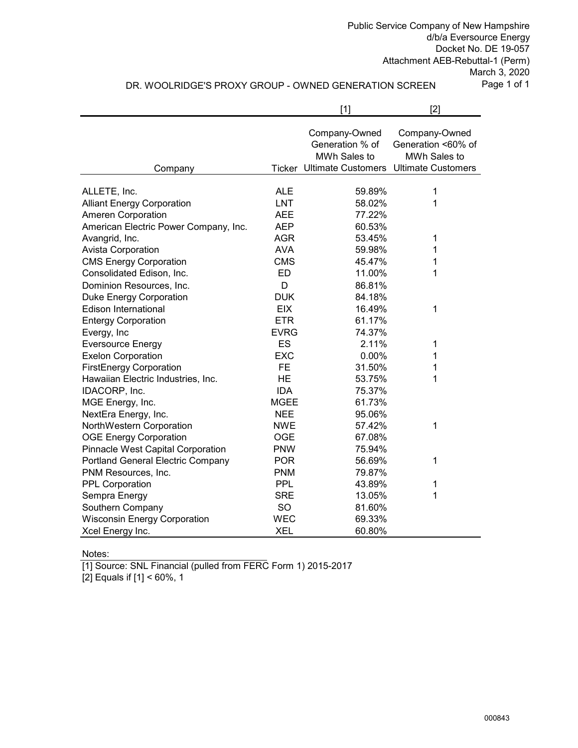Public Service Company of New Hampshire d/b/a Eversource Energy Docket No. DE 19-057 Attachment AEB-Rebuttal-1 (Perm)

> March 3, 2020 Page 1 of 1

# DR. WOOLRIDGE'S PROXY GROUP - OWNED GENERATION SCREEN

|                                       |             | $[1]$                                            | $[2]$                                               |
|---------------------------------------|-------------|--------------------------------------------------|-----------------------------------------------------|
|                                       |             | Company-Owned<br>Generation % of<br>MWh Sales to | Company-Owned<br>Generation <60% of<br>MWh Sales to |
| Company                               |             | <b>Ticker Ultimate Customers</b>                 | <b>Ultimate Customers</b>                           |
|                                       |             |                                                  |                                                     |
| ALLETE, Inc.                          | <b>ALE</b>  | 59.89%                                           | 1                                                   |
| <b>Alliant Energy Corporation</b>     | <b>LNT</b>  | 58.02%                                           | 1                                                   |
| Ameren Corporation                    | <b>AEE</b>  | 77.22%                                           |                                                     |
| American Electric Power Company, Inc. | <b>AEP</b>  | 60.53%                                           |                                                     |
| Avangrid, Inc.                        | <b>AGR</b>  | 53.45%                                           | 1                                                   |
| <b>Avista Corporation</b>             | <b>AVA</b>  | 59.98%                                           | 1                                                   |
| <b>CMS Energy Corporation</b>         | <b>CMS</b>  | 45.47%                                           | 1                                                   |
| Consolidated Edison, Inc.             | ED          | 11.00%                                           | 1                                                   |
| Dominion Resources, Inc.              | D           | 86.81%                                           |                                                     |
| <b>Duke Energy Corporation</b>        | <b>DUK</b>  | 84.18%                                           |                                                     |
| <b>Edison International</b>           | <b>EIX</b>  | 16.49%                                           | 1                                                   |
| <b>Entergy Corporation</b>            | <b>ETR</b>  | 61.17%                                           |                                                     |
| Evergy, Inc                           | <b>EVRG</b> | 74.37%                                           |                                                     |
| <b>Eversource Energy</b>              | ES          | 2.11%                                            | 1                                                   |
| <b>Exelon Corporation</b>             | <b>EXC</b>  | 0.00%                                            | 1                                                   |
| <b>FirstEnergy Corporation</b>        | <b>FE</b>   | 31.50%                                           | 1                                                   |
| Hawaiian Electric Industries, Inc.    | <b>HE</b>   | 53.75%                                           | 1                                                   |
| IDACORP, Inc.                         | <b>IDA</b>  | 75.37%                                           |                                                     |
| MGE Energy, Inc.                      | <b>MGEE</b> | 61.73%                                           |                                                     |
| NextEra Energy, Inc.                  | <b>NEE</b>  | 95.06%                                           |                                                     |
| NorthWestern Corporation              | <b>NWE</b>  | 57.42%                                           | 1                                                   |
| <b>OGE Energy Corporation</b>         | <b>OGE</b>  | 67.08%                                           |                                                     |
| Pinnacle West Capital Corporation     | <b>PNW</b>  | 75.94%                                           |                                                     |
| Portland General Electric Company     | <b>POR</b>  | 56.69%                                           | 1                                                   |
| PNM Resources, Inc.                   | <b>PNM</b>  | 79.87%                                           |                                                     |
| <b>PPL Corporation</b>                | <b>PPL</b>  | 43.89%                                           | 1                                                   |
| Sempra Energy                         | <b>SRE</b>  | 13.05%                                           | 1                                                   |
| Southern Company                      | SO          | 81.60%                                           |                                                     |
| <b>Wisconsin Energy Corporation</b>   | <b>WEC</b>  | 69.33%                                           |                                                     |
| Xcel Energy Inc.                      | <b>XEL</b>  | 60.80%                                           |                                                     |

Notes:

[1] Source: SNL Financial (pulled from FERC Form 1) 2015-2017

[2] Equals if [1] < 60%, 1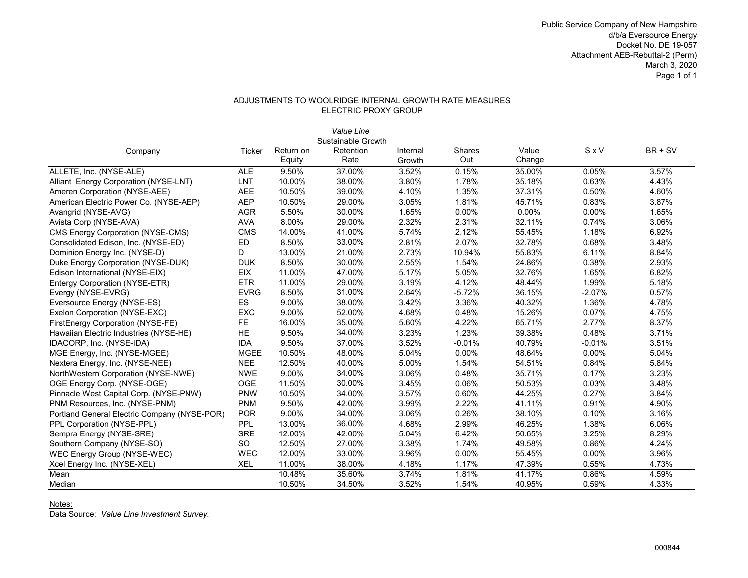Public Service Company of New Hampshire d/b/a Eversource Energy Docket No. DE 19-057 Attachment AEB-Rebuttal-2 (Perm) March 3, 2020 Page 1 of 1

### ADJUSTMENTS TO WOOLRIDGE INTERNAL GROWTH RATE MEASURES ELECTRIC PROXY GROUP

|                                              |               |           | Value Line         |          |               |        |          |           |
|----------------------------------------------|---------------|-----------|--------------------|----------|---------------|--------|----------|-----------|
|                                              |               |           | Sustainable Growth |          |               |        |          |           |
| Company                                      | <b>Ticker</b> | Return on | Retention          | Internal | <b>Shares</b> | Value  | SxV      | $BR + SV$ |
|                                              |               | Equity    | Rate               | Growth   | Out           | Change |          |           |
| ALLETE, Inc. (NYSE-ALE)                      | <b>ALE</b>    | 9.50%     | 37.00%             | 3.52%    | 0.15%         | 35.00% | 0.05%    | 3.57%     |
| Alliant Energy Corporation (NYSE-LNT)        | LNT           | 10.00%    | 38.00%             | 3.80%    | 1.78%         | 35.18% | 0.63%    | 4.43%     |
| Ameren Corporation (NYSE-AEE)                | <b>AEE</b>    | 10.50%    | 39.00%             | 4.10%    | 1.35%         | 37.31% | 0.50%    | 4.60%     |
| American Electric Power Co. (NYSE-AEP)       | <b>AEP</b>    | 10.50%    | 29.00%             | 3.05%    | 1.81%         | 45.71% | 0.83%    | 3.87%     |
| Avangrid (NYSE-AVG)                          | <b>AGR</b>    | 5.50%     | 30.00%             | 1.65%    | 0.00%         | 0.00%  | $0.00\%$ | 1.65%     |
| Avista Corp (NYSE-AVA)                       | <b>AVA</b>    | 8.00%     | 29.00%             | 2.32%    | 2.31%         | 32.11% | 0.74%    | 3.06%     |
| <b>CMS Energy Corporation (NYSE-CMS)</b>     | <b>CMS</b>    | 14.00%    | 41.00%             | 5.74%    | 2.12%         | 55.45% | 1.18%    | 6.92%     |
| Consolidated Edison, Inc. (NYSE-ED)          | ED            | 8.50%     | 33.00%             | 2.81%    | 2.07%         | 32.78% | 0.68%    | 3.48%     |
| Dominion Energy Inc. (NYSE-D)                | D             | 13.00%    | 21.00%             | 2.73%    | 10.94%        | 55.83% | 6.11%    | 8.84%     |
| Duke Energy Corporation (NYSE-DUK)           | <b>DUK</b>    | 8.50%     | 30.00%             | 2.55%    | 1.54%         | 24.86% | 0.38%    | 2.93%     |
| Edison International (NYSE-EIX)              | <b>EIX</b>    | 11.00%    | 47.00%             | 5.17%    | 5.05%         | 32.76% | 1.65%    | 6.82%     |
| Entergy Corporation (NYSE-ETR)               | <b>ETR</b>    | 11.00%    | 29.00%             | 3.19%    | 4.12%         | 48.44% | 1.99%    | 5.18%     |
| Evergy (NYSE-EVRG)                           | <b>EVRG</b>   | 8.50%     | 31.00%             | 2.64%    | $-5.72%$      | 36.15% | $-2.07%$ | 0.57%     |
| Eversource Energy (NYSE-ES)                  | ES            | 9.00%     | 38.00%             | 3.42%    | 3.36%         | 40.32% | 1.36%    | 4.78%     |
| Exelon Corporation (NYSE-EXC)                | EXC           | 9.00%     | 52.00%             | 4.68%    | 0.48%         | 15.26% | 0.07%    | 4.75%     |
| FirstEnergy Corporation (NYSE-FE)            | <b>FE</b>     | 16.00%    | 35.00%             | 5.60%    | 4.22%         | 65.71% | 2.77%    | 8.37%     |
| Hawaiian Electric Industries (NYSE-HE)       | HE            | 9.50%     | 34.00%             | 3.23%    | 1.23%         | 39.38% | 0.48%    | 3.71%     |
| IDACORP, Inc. (NYSE-IDA)                     | <b>IDA</b>    | 9.50%     | 37.00%             | 3.52%    | $-0.01%$      | 40.79% | $-0.01%$ | 3.51%     |
| MGE Energy, Inc. (NYSE-MGEE)                 | <b>MGEE</b>   | 10.50%    | 48.00%             | 5.04%    | $0.00\%$      | 48.64% | 0.00%    | 5.04%     |
| Nextera Energy, Inc. (NYSE-NEE)              | <b>NEE</b>    | 12.50%    | 40.00%             | 5.00%    | 1.54%         | 54.51% | 0.84%    | 5.84%     |
| NorthWestern Corporation (NYSE-NWE)          | <b>NWE</b>    | 9.00%     | 34.00%             | 3.06%    | 0.48%         | 35.71% | 0.17%    | 3.23%     |
| OGE Energy Corp. (NYSE-OGE)                  | <b>OGE</b>    | 11.50%    | 30.00%             | 3.45%    | 0.06%         | 50.53% | 0.03%    | 3.48%     |
| Pinnacle West Capital Corp. (NYSE-PNW)       | <b>PNW</b>    | 10.50%    | 34.00%             | 3.57%    | 0.60%         | 44.25% | 0.27%    | 3.84%     |
| PNM Resources, Inc. (NYSE-PNM)               | <b>PNM</b>    | 9.50%     | 42.00%             | 3.99%    | 2.22%         | 41.11% | 0.91%    | 4.90%     |
| Portland General Electric Company (NYSE-POR) | <b>POR</b>    | 9.00%     | 34.00%             | 3.06%    | 0.26%         | 38.10% | 0.10%    | 3.16%     |
| PPL Corporation (NYSE-PPL)                   | PPL           | 13.00%    | 36.00%             | 4.68%    | 2.99%         | 46.25% | 1.38%    | 6.06%     |
| Sempra Energy (NYSE-SRE)                     | <b>SRE</b>    | 12.00%    | 42.00%             | 5.04%    | 6.42%         | 50.65% | 3.25%    | 8.29%     |
| Southern Company (NYSE-SO)                   | SO.           | 12.50%    | 27.00%             | 3.38%    | 1.74%         | 49.58% | 0.86%    | 4.24%     |
| WEC Energy Group (NYSE-WEC)                  | <b>WEC</b>    | 12.00%    | 33.00%             | 3.96%    | $0.00\%$      | 55.45% | $0.00\%$ | 3.96%     |
| Xcel Energy Inc. (NYSE-XEL)                  | <b>XEL</b>    | 11.00%    | 38.00%             | 4.18%    | 1.17%         | 47.39% | 0.55%    | 4.73%     |
| Mean                                         |               | 10.48%    | 35.60%             | 3.74%    | 1.81%         | 41.17% | 0.86%    | 4.59%     |
| Median                                       |               | 10.50%    | 34.50%             | 3.52%    | 1.54%         | 40.95% | 0.59%    | 4.33%     |

Notes:

Data Source: *Value Line Investment Survey.*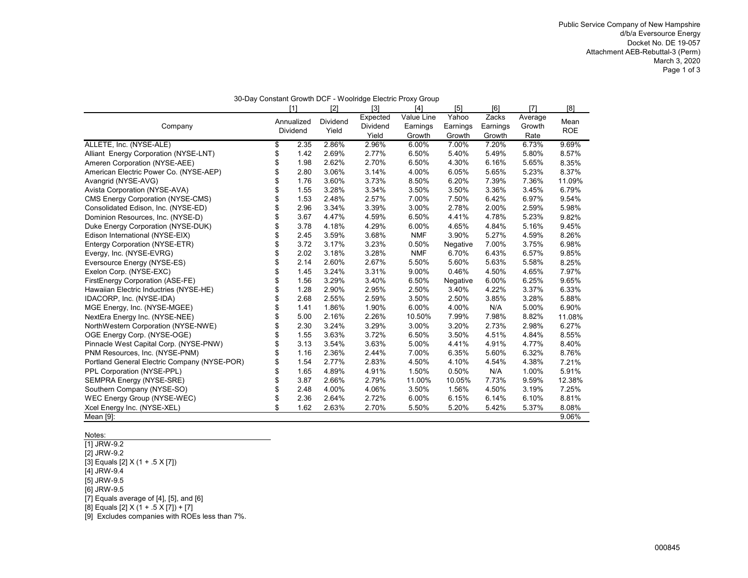| 30-Day Constant Growth DCF - Woolridge Electric Proxy Group |    |            |                 |                   |            |          |          |         |            |
|-------------------------------------------------------------|----|------------|-----------------|-------------------|------------|----------|----------|---------|------------|
|                                                             |    | [1]        | $[2]$           | $\lceil 3 \rceil$ | $[4]$      | $[5]$    | [6]      | [7]     | [8]        |
|                                                             |    | Annualized | <b>Dividend</b> | Expected          | Value Line | Yahoo    | Zacks    | Average | Mean       |
| Company                                                     |    | Dividend   | Yield           | Dividend          | Earnings   | Earnings | Earnings | Growth  | <b>ROE</b> |
|                                                             |    |            |                 | Yield             | Growth     | Growth   | Growth   | Rate    |            |
| ALLETE, Inc. (NYSE-ALE)                                     | \$ | 2.35       | 2.86%           | 2.96%             | 6.00%      | 7.00%    | 7.20%    | 6.73%   | 9.69%      |
| Alliant Energy Corporation (NYSE-LNT)                       | \$ | 1.42       | 2.69%           | 2.77%             | 6.50%      | 5.40%    | 5.49%    | 5.80%   | 8.57%      |
| Ameren Corporation (NYSE-AEE)                               | \$ | 1.98       | 2.62%           | 2.70%             | 6.50%      | 4.30%    | 6.16%    | 5.65%   | 8.35%      |
| American Electric Power Co. (NYSE-AEP)                      | \$ | 2.80       | 3.06%           | 3.14%             | 4.00%      | 6.05%    | 5.65%    | 5.23%   | 8.37%      |
| Avangrid (NYSE-AVG)                                         | \$ | 1.76       | 3.60%           | 3.73%             | 8.50%      | 6.20%    | 7.39%    | 7.36%   | 11.09%     |
| Avista Corporation (NYSE-AVA)                               | \$ | 1.55       | 3.28%           | 3.34%             | 3.50%      | 3.50%    | 3.36%    | 3.45%   | 6.79%      |
| <b>CMS Energy Corporation (NYSE-CMS)</b>                    | \$ | 1.53       | 2.48%           | 2.57%             | 7.00%      | 7.50%    | 6.42%    | 6.97%   | 9.54%      |
| Consolidated Edison, Inc. (NYSE-ED)                         | \$ | 2.96       | 3.34%           | 3.39%             | 3.00%      | 2.78%    | 2.00%    | 2.59%   | 5.98%      |
| Dominion Resources, Inc. (NYSE-D)                           | \$ | 3.67       | 4.47%           | 4.59%             | 6.50%      | 4.41%    | 4.78%    | 5.23%   | 9.82%      |
| Duke Energy Corporation (NYSE-DUK)                          | \$ | 3.78       | 4.18%           | 4.29%             | 6.00%      | 4.65%    | 4.84%    | 5.16%   | 9.45%      |
| Edison International (NYSE-EIX)                             | \$ | 2.45       | 3.59%           | 3.68%             | <b>NMF</b> | 3.90%    | 5.27%    | 4.59%   | 8.26%      |
| Entergy Corporation (NYSE-ETR)                              | \$ | 3.72       | 3.17%           | 3.23%             | 0.50%      | Negative | 7.00%    | 3.75%   | 6.98%      |
| Evergy, Inc. (NYSE-EVRG)                                    | \$ | 2.02       | 3.18%           | 3.28%             | <b>NMF</b> | 6.70%    | 6.43%    | 6.57%   | 9.85%      |
| Eversource Energy (NYSE-ES)                                 | \$ | 2.14       | 2.60%           | 2.67%             | 5.50%      | 5.60%    | 5.63%    | 5.58%   | 8.25%      |
| Exelon Corp. (NYSE-EXC)                                     | \$ | 1.45       | 3.24%           | 3.31%             | 9.00%      | 0.46%    | 4.50%    | 4.65%   | 7.97%      |
| FirstEnergy Corporation (ASE-FE)                            | \$ | 1.56       | 3.29%           | 3.40%             | 6.50%      | Negative | 6.00%    | 6.25%   | 9.65%      |
| Hawaiian Electric Inductries (NYSE-HE)                      | \$ | 1.28       | 2.90%           | 2.95%             | 2.50%      | 3.40%    | 4.22%    | 3.37%   | 6.33%      |
| IDACORP, Inc. (NYSE-IDA)                                    | \$ | 2.68       | 2.55%           | 2.59%             | 3.50%      | 2.50%    | 3.85%    | 3.28%   | 5.88%      |
| MGE Energy, Inc. (NYSE-MGEE)                                | \$ | 1.41       | 1.86%           | 1.90%             | 6.00%      | 4.00%    | N/A      | 5.00%   | 6.90%      |
| NextEra Energy Inc. (NYSE-NEE)                              | \$ | 5.00       | 2.16%           | 2.26%             | 10.50%     | 7.99%    | 7.98%    | 8.82%   | 11.08%     |
| NorthWestern Corporation (NYSE-NWE)                         | \$ | 2.30       | 3.24%           | 3.29%             | 3.00%      | 3.20%    | 2.73%    | 2.98%   | 6.27%      |
| OGE Energy Corp. (NYSE-OGE)                                 | \$ | 1.55       | 3.63%           | 3.72%             | 6.50%      | 3.50%    | 4.51%    | 4.84%   | 8.55%      |
| Pinnacle West Capital Corp. (NYSE-PNW)                      | \$ | 3.13       | 3.54%           | 3.63%             | 5.00%      | 4.41%    | 4.91%    | 4.77%   | 8.40%      |
| PNM Resources, Inc. (NYSE-PNM)                              | \$ | 1.16       | 2.36%           | 2.44%             | 7.00%      | 6.35%    | 5.60%    | 6.32%   | 8.76%      |
| Portland General Electric Company (NYSE-POR)                | \$ | 1.54       | 2.77%           | 2.83%             | 4.50%      | 4.10%    | 4.54%    | 4.38%   | 7.21%      |
| PPL Corporation (NYSE-PPL)                                  | \$ | 1.65       | 4.89%           | 4.91%             | 1.50%      | 0.50%    | N/A      | 1.00%   | 5.91%      |
| SEMPRA Energy (NYSE-SRE)                                    | \$ | 3.87       | 2.66%           | 2.79%             | 11.00%     | 10.05%   | 7.73%    | 9.59%   | 12.38%     |
| Southern Company (NYSE-SO)                                  | \$ | 2.48       | 4.00%           | 4.06%             | 3.50%      | 1.56%    | 4.50%    | 3.19%   | 7.25%      |
| WEC Energy Group (NYSE-WEC)                                 | \$ | 2.36       | 2.64%           | 2.72%             | 6.00%      | 6.15%    | 6.14%    | 6.10%   | 8.81%      |
| Xcel Energy Inc. (NYSE-XEL)                                 | \$ | 1.62       | 2.63%           | 2.70%             | 5.50%      | 5.20%    | 5.42%    | 5.37%   | 8.08%      |
| Mean [9]:                                                   |    |            |                 |                   |            |          |          |         | 9.06%      |

#### Notes:

[1] JRW-9.2 [2] JRW-9.2 [3] Equals [2] X (1 + .5 X [7])  $[4]$  JRW-9.4 [5] JRW-9.5 [6] JRW-9.5  $\overline{[7]}$  Equals average of  $[4]$ ,  $[5]$ , and  $[6]$ [8] Equals [2] X (1 + .5 X [7]) + [7] [9] Excludes companies with ROEs less than 7%.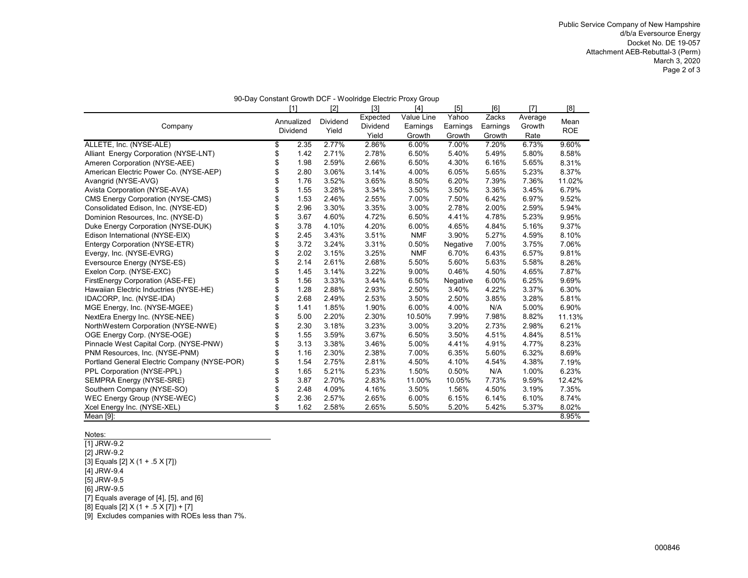| 90-Day Constant Growth DCF - Woolridge Electric Proxy Group |    |            |          |                   |            |          |          |         |            |
|-------------------------------------------------------------|----|------------|----------|-------------------|------------|----------|----------|---------|------------|
|                                                             |    | [1]        | [2]      | $\lceil 3 \rceil$ | [4]        | [5]      | [6]      | [7]     | [8]        |
|                                                             |    | Annualized | Dividend | Expected          | Value Line | Yahoo    | Zacks    | Average | Mean       |
| Company                                                     |    | Dividend   | Yield    | <b>Dividend</b>   | Earnings   | Earnings | Earnings | Growth  | <b>ROE</b> |
|                                                             |    |            |          | Yield             | Growth     | Growth   | Growth   | Rate    |            |
| ALLETE, Inc. (NYSE-ALE)                                     | \$ | 2.35       | 2.77%    | 2.86%             | 6.00%      | 7.00%    | 7.20%    | 6.73%   | 9.60%      |
| Alliant Energy Corporation (NYSE-LNT)                       | \$ | 1.42       | 2.71%    | 2.78%             | 6.50%      | 5.40%    | 5.49%    | 5.80%   | 8.58%      |
| Ameren Corporation (NYSE-AEE)                               | \$ | 1.98       | 2.59%    | 2.66%             | 6.50%      | 4.30%    | 6.16%    | 5.65%   | 8.31%      |
| American Electric Power Co. (NYSE-AEP)                      | \$ | 2.80       | 3.06%    | 3.14%             | 4.00%      | 6.05%    | 5.65%    | 5.23%   | 8.37%      |
| Avangrid (NYSE-AVG)                                         | \$ | 1.76       | 3.52%    | 3.65%             | 8.50%      | 6.20%    | 7.39%    | 7.36%   | 11.02%     |
| Avista Corporation (NYSE-AVA)                               | \$ | 1.55       | 3.28%    | 3.34%             | 3.50%      | 3.50%    | 3.36%    | 3.45%   | 6.79%      |
| <b>CMS Energy Corporation (NYSE-CMS)</b>                    | \$ | 1.53       | 2.46%    | 2.55%             | 7.00%      | 7.50%    | 6.42%    | 6.97%   | 9.52%      |
| Consolidated Edison, Inc. (NYSE-ED)                         | \$ | 2.96       | 3.30%    | 3.35%             | 3.00%      | 2.78%    | 2.00%    | 2.59%   | 5.94%      |
| Dominion Resources, Inc. (NYSE-D)                           | \$ | 3.67       | 4.60%    | 4.72%             | 6.50%      | 4.41%    | 4.78%    | 5.23%   | 9.95%      |
| Duke Energy Corporation (NYSE-DUK)                          | \$ | 3.78       | 4.10%    | 4.20%             | 6.00%      | 4.65%    | 4.84%    | 5.16%   | 9.37%      |
| Edison International (NYSE-EIX)                             | \$ | 2.45       | 3.43%    | 3.51%             | <b>NMF</b> | 3.90%    | 5.27%    | 4.59%   | 8.10%      |
| Entergy Corporation (NYSE-ETR)                              | \$ | 3.72       | 3.24%    | 3.31%             | 0.50%      | Negative | 7.00%    | 3.75%   | 7.06%      |
| Evergy, Inc. (NYSE-EVRG)                                    | \$ | 2.02       | 3.15%    | 3.25%             | <b>NMF</b> | 6.70%    | 6.43%    | 6.57%   | 9.81%      |
| Eversource Energy (NYSE-ES)                                 | \$ | 2.14       | 2.61%    | 2.68%             | 5.50%      | 5.60%    | 5.63%    | 5.58%   | 8.26%      |
| Exelon Corp. (NYSE-EXC)                                     | \$ | 1.45       | 3.14%    | 3.22%             | 9.00%      | 0.46%    | 4.50%    | 4.65%   | 7.87%      |
| FirstEnergy Corporation (ASE-FE)                            | \$ | 1.56       | 3.33%    | 3.44%             | 6.50%      | Negative | 6.00%    | 6.25%   | 9.69%      |
| Hawaiian Electric Inductries (NYSE-HE)                      | \$ | 1.28       | 2.88%    | 2.93%             | 2.50%      | 3.40%    | 4.22%    | 3.37%   | 6.30%      |
| IDACORP, Inc. (NYSE-IDA)                                    | \$ | 2.68       | 2.49%    | 2.53%             | 3.50%      | 2.50%    | 3.85%    | 3.28%   | 5.81%      |
| MGE Energy, Inc. (NYSE-MGEE)                                | \$ | 1.41       | 1.85%    | 1.90%             | 6.00%      | 4.00%    | N/A      | 5.00%   | 6.90%      |
| NextEra Energy Inc. (NYSE-NEE)                              | \$ | 5.00       | 2.20%    | 2.30%             | 10.50%     | 7.99%    | 7.98%    | 8.82%   | 11.13%     |
| NorthWestern Corporation (NYSE-NWE)                         | \$ | 2.30       | 3.18%    | 3.23%             | 3.00%      | 3.20%    | 2.73%    | 2.98%   | 6.21%      |
| OGE Energy Corp. (NYSE-OGE)                                 | \$ | 1.55       | 3.59%    | 3.67%             | 6.50%      | 3.50%    | 4.51%    | 4.84%   | 8.51%      |
| Pinnacle West Capital Corp. (NYSE-PNW)                      | \$ | 3.13       | 3.38%    | 3.46%             | 5.00%      | 4.41%    | 4.91%    | 4.77%   | 8.23%      |
| PNM Resources, Inc. (NYSE-PNM)                              | \$ | 1.16       | 2.30%    | 2.38%             | 7.00%      | 6.35%    | 5.60%    | 6.32%   | 8.69%      |
| Portland General Electric Company (NYSE-POR)                | \$ | 1.54       | 2.75%    | 2.81%             | 4.50%      | 4.10%    | 4.54%    | 4.38%   | 7.19%      |
| PPL Corporation (NYSE-PPL)                                  | \$ | 1.65       | 5.21%    | 5.23%             | 1.50%      | 0.50%    | N/A      | 1.00%   | 6.23%      |
| SEMPRA Energy (NYSE-SRE)                                    | \$ | 3.87       | 2.70%    | 2.83%             | 11.00%     | 10.05%   | 7.73%    | 9.59%   | 12.42%     |
| Southern Company (NYSE-SO)                                  | \$ | 2.48       | 4.09%    | 4.16%             | 3.50%      | 1.56%    | 4.50%    | 3.19%   | 7.35%      |
| WEC Energy Group (NYSE-WEC)                                 | \$ | 2.36       | 2.57%    | 2.65%             | 6.00%      | 6.15%    | 6.14%    | 6.10%   | 8.74%      |
| Xcel Energy Inc. (NYSE-XEL)                                 | \$ | 1.62       | 2.58%    | 2.65%             | 5.50%      | 5.20%    | 5.42%    | 5.37%   | 8.02%      |
| Mean [9]:                                                   |    |            |          |                   |            |          |          |         | 8.95%      |

#### Notes:

[1] JRW-9.2 [2] JRW-9.2  $[3]$  Equals  $[2]$  X (1 + .5 X  $[7]$ )  $[4]$  JRW-9.4 [5] JRW-9.5 [6] JRW-9.5 [7] Equals average of [4], [5], and [6]  $[8]$  Equals  $[2]$  X  $(1 + .5 \times [7]) + [7]$ [9] Excludes companies with ROEs less than 7%.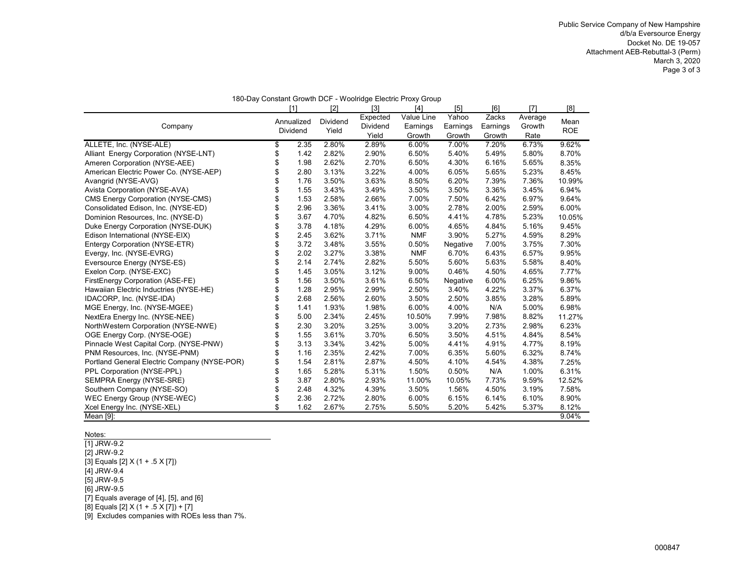|                                              |                        |                   |                               | 180-Day Constant Growth DCF - Woolridge Electric Proxy Group |                             |                             |                           |                    |
|----------------------------------------------|------------------------|-------------------|-------------------------------|--------------------------------------------------------------|-----------------------------|-----------------------------|---------------------------|--------------------|
|                                              | [1]                    | [2]               | $\lceil 3 \rceil$             | [4]                                                          | [5]                         | [6]                         | [7]                       | [8]                |
| Company                                      | Annualized<br>Dividend | Dividend<br>Yield | Expected<br>Dividend<br>Yield | Value Line<br>Earnings<br>Growth                             | Yahoo<br>Earnings<br>Growth | Zacks<br>Earnings<br>Growth | Average<br>Growth<br>Rate | Mean<br><b>ROE</b> |
| ALLETE, Inc. (NYSE-ALE)                      | \$<br>2.35             | 2.80%             | 2.89%                         | 6.00%                                                        | 7.00%                       | 7.20%                       | 6.73%                     | 9.62%              |
| Alliant Energy Corporation (NYSE-LNT)        | \$<br>1.42             | 2.82%             | 2.90%                         | 6.50%                                                        | 5.40%                       | 5.49%                       | 5.80%                     | 8.70%              |
| Ameren Corporation (NYSE-AEE)                | \$<br>1.98             | 2.62%             | 2.70%                         | 6.50%                                                        | 4.30%                       | 6.16%                       | 5.65%                     | 8.35%              |
| American Electric Power Co. (NYSE-AEP)       | \$<br>2.80             | 3.13%             | 3.22%                         | 4.00%                                                        | 6.05%                       | 5.65%                       | 5.23%                     | 8.45%              |
| Avangrid (NYSE-AVG)                          | \$<br>1.76             | 3.50%             | 3.63%                         | 8.50%                                                        | 6.20%                       | 7.39%                       | 7.36%                     | 10.99%             |
| Avista Corporation (NYSE-AVA)                | \$<br>1.55             | 3.43%             | 3.49%                         | 3.50%                                                        | 3.50%                       | 3.36%                       | 3.45%                     | 6.94%              |
| CMS Energy Corporation (NYSE-CMS)            | \$<br>1.53             | 2.58%             | 2.66%                         | 7.00%                                                        | 7.50%                       | 6.42%                       | 6.97%                     | 9.64%              |
| Consolidated Edison, Inc. (NYSE-ED)          | \$<br>2.96             | 3.36%             | 3.41%                         | 3.00%                                                        | 2.78%                       | 2.00%                       | 2.59%                     | 6.00%              |
| Dominion Resources, Inc. (NYSE-D)            | \$<br>3.67             | 4.70%             | 4.82%                         | 6.50%                                                        | 4.41%                       | 4.78%                       | 5.23%                     | 10.05%             |
| Duke Energy Corporation (NYSE-DUK)           | \$<br>3.78             | 4.18%             | 4.29%                         | 6.00%                                                        | 4.65%                       | 4.84%                       | 5.16%                     | 9.45%              |
| Edison International (NYSE-EIX)              | \$<br>2.45             | 3.62%             | 3.71%                         | <b>NMF</b>                                                   | 3.90%                       | 5.27%                       | 4.59%                     | 8.29%              |
| Entergy Corporation (NYSE-ETR)               | \$<br>3.72             | 3.48%             | 3.55%                         | 0.50%                                                        | Negative                    | 7.00%                       | 3.75%                     | 7.30%              |
| Evergy, Inc. (NYSE-EVRG)                     | \$<br>2.02             | 3.27%             | 3.38%                         | <b>NMF</b>                                                   | 6.70%                       | 6.43%                       | 6.57%                     | 9.95%              |
| Eversource Energy (NYSE-ES)                  | \$<br>2.14             | 2.74%             | 2.82%                         | 5.50%                                                        | 5.60%                       | 5.63%                       | 5.58%                     | 8.40%              |
| Exelon Corp. (NYSE-EXC)                      | \$<br>1.45             | 3.05%             | 3.12%                         | 9.00%                                                        | 0.46%                       | 4.50%                       | 4.65%                     | 7.77%              |
| FirstEnergy Corporation (ASE-FE)             | \$<br>1.56             | 3.50%             | 3.61%                         | 6.50%                                                        | Negative                    | 6.00%                       | 6.25%                     | 9.86%              |
| Hawaiian Electric Inductries (NYSE-HE)       | \$<br>1.28             | 2.95%             | 2.99%                         | 2.50%                                                        | 3.40%                       | 4.22%                       | 3.37%                     | 6.37%              |
| IDACORP, Inc. (NYSE-IDA)                     | \$<br>2.68             | 2.56%             | 2.60%                         | 3.50%                                                        | 2.50%                       | 3.85%                       | 3.28%                     | 5.89%              |
| MGE Energy, Inc. (NYSE-MGEE)                 | \$<br>1.41             | 1.93%             | 1.98%                         | 6.00%                                                        | 4.00%                       | N/A                         | 5.00%                     | 6.98%              |
| NextEra Energy Inc. (NYSE-NEE)               | \$<br>5.00             | 2.34%             | 2.45%                         | 10.50%                                                       | 7.99%                       | 7.98%                       | 8.82%                     | 11.27%             |
| NorthWestern Corporation (NYSE-NWE)          | \$<br>2.30             | 3.20%             | 3.25%                         | 3.00%                                                        | 3.20%                       | 2.73%                       | 2.98%                     | 6.23%              |
| OGE Energy Corp. (NYSE-OGE)                  | \$<br>1.55             | 3.61%             | 3.70%                         | 6.50%                                                        | 3.50%                       | 4.51%                       | 4.84%                     | 8.54%              |
| Pinnacle West Capital Corp. (NYSE-PNW)       | \$<br>3.13             | 3.34%             | 3.42%                         | 5.00%                                                        | 4.41%                       | 4.91%                       | 4.77%                     | 8.19%              |
| PNM Resources, Inc. (NYSE-PNM)               | \$<br>1.16             | 2.35%             | 2.42%                         | 7.00%                                                        | 6.35%                       | 5.60%                       | 6.32%                     | 8.74%              |
| Portland General Electric Company (NYSE-POR) | \$<br>1.54             | 2.81%             | 2.87%                         | 4.50%                                                        | 4.10%                       | 4.54%                       | 4.38%                     | 7.25%              |
| PPL Corporation (NYSE-PPL)                   | \$<br>1.65             | 5.28%             | 5.31%                         | 1.50%                                                        | 0.50%                       | N/A                         | 1.00%                     | 6.31%              |
| SEMPRA Energy (NYSE-SRE)                     | \$<br>3.87             | 2.80%             | 2.93%                         | 11.00%                                                       | 10.05%                      | 7.73%                       | 9.59%                     | 12.52%             |
| Southern Company (NYSE-SO)                   | \$<br>2.48             | 4.32%             | 4.39%                         | 3.50%                                                        | 1.56%                       | 4.50%                       | 3.19%                     | 7.58%              |
| WEC Energy Group (NYSE-WEC)                  | \$<br>2.36             | 2.72%             | 2.80%                         | 6.00%                                                        | 6.15%                       | 6.14%                       | 6.10%                     | 8.90%              |
| Xcel Energy Inc. (NYSE-XEL)                  | \$<br>1.62             | 2.67%             | 2.75%                         | 5.50%                                                        | 5.20%                       | 5.42%                       | 5.37%                     | 8.12%              |
| Mean [9]:                                    |                        |                   |                               |                                                              |                             |                             |                           | 9.04%              |

### 180-Day Constant Growth DCF - Woolridge Electric Proxy Group

#### Notes:

[1] JRW-9.2  $[2]$  JRW-9.2 [3] Equals [2] X (1 + .5 X [7])  $[4]$  JRW-9.4 [5] JRW-9.5 [6] JRW-9.5 [7] Equals average of [4], [5], and [6]  $[8]$  Equals  $[2]$  X  $(1 + .5 \times [7]) + [7]$ [9] Excludes companies with ROEs less than 7%.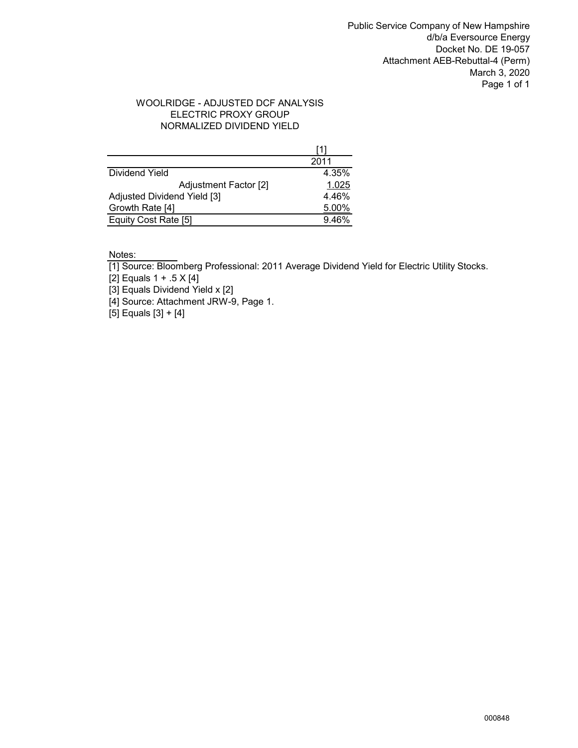Public Service Company of New Hampshire d/b/a Eversource Energy Docket No. DE 19-057 Attachment AEB-Rebuttal-4 (Perm) March 3, 2020 Page 1 of 1

## WOOLRIDGE - ADJUSTED DCF ANALYSIS NORMALIZED DIVIDEND YIELD ELECTRIC PROXY GROUP

|                             | 2011  |
|-----------------------------|-------|
| Dividend Yield              | 4.35% |
| Adjustment Factor [2]       | 1.025 |
| Adjusted Dividend Yield [3] | 4.46% |
| Growth Rate [4]             | 5.00% |
| Equity Cost Rate [5]        | 9.46% |

Notes:

[1] Source: Bloomberg Professional: 2011 Average Dividend Yield for Electric Utility Stocks.

[2] Equals 1 + .5 X [4]

[3] Equals Dividend Yield x [2]

[4] Source: Attachment JRW-9, Page 1.

[5] Equals [3] + [4]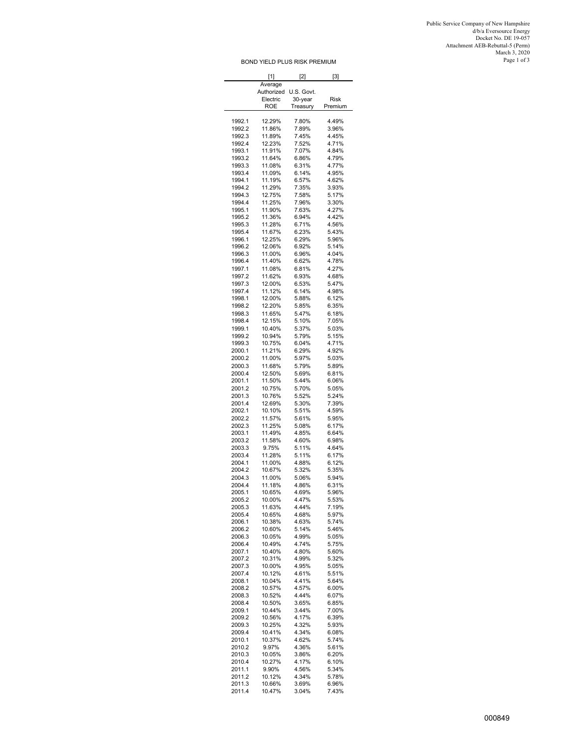Public Service Company of New Hampshire<br>
d/b/a Eversource Energy<br>
Docket No. DE 19-057<br>
Docket No. DE 19-057<br>
Attachment AEB-Rebuttal-5 (Perm)<br>March 3, 2020<br>Page 1 of 3

|                  | [1]                    | [2]                   | $[3]$          |
|------------------|------------------------|-----------------------|----------------|
|                  | Average                |                       |                |
|                  | Authorized<br>Electric | U.S. Govt.<br>30-year | Risk           |
|                  | <b>ROE</b>             | Treasury              | Premium        |
|                  |                        |                       |                |
| 1992.1           | 12.29%                 | 7.80%                 | 4.49%          |
| 1992.2<br>1992.3 | 11.86%<br>11.89%       | 7.89%<br>7.45%        | 3.96%<br>4.45% |
| 1992.4           | 12.23%                 | 7.52%                 | 4.71%          |
| 1993.1           | 11.91%                 | 7.07%                 | 4.84%          |
| 1993.2           | 11.64%                 | 6.86%                 | 4.79%          |
| 1993.3           | 11.08%                 | 6.31%                 | 4.77%          |
| 1993.4           | 11.09%                 | 6.14%                 | 4.95%          |
| 1994.1<br>1994.2 | 11.19%                 | 6.57%                 | 4.62%          |
| 1994.3           | 11.29%<br>12.75%       | 7.35%<br>7.58%        | 3.93%<br>5.17% |
| 1994.4           | 11.25%                 | 7.96%                 | 3.30%          |
| 1995.1           | 11.90%                 | 7.63%                 | 4.27%          |
| 1995.2           | 11.36%                 | 6.94%                 | 4.42%          |
| 1995.3           | 11.28%                 | 6.71%                 | 4.56%          |
| 1995.4           | 11.67%                 | 6.23%                 | 5.43%          |
| 1996.1<br>1996.2 | 12.25%<br>12.06%       | 6.29%<br>6.92%        | 5.96%<br>5.14% |
| 1996.3           | 11.00%                 | 6.96%                 | 4.04%          |
| 1996.4           | 11.40%                 | 6.62%                 | 4.78%          |
| 1997.1           | 11.08%                 | 6.81%                 | 4.27%          |
| 1997.2           | 11.62%                 | 6.93%                 | 4.68%          |
| 1997.3           | 12.00%                 | 6.53%                 | 5.47%          |
| 1997.4           | 11.12%                 | 6.14%                 | 4.98%          |
| 1998.1           | 12.00%                 | 5.88%                 | 6.12%          |
| 1998.2<br>1998.3 | 12.20%                 | 5.85%<br>5.47%        | 6.35%<br>6.18% |
| 1998.4           | 11.65%<br>12.15%       | 5.10%                 | 7.05%          |
| 1999.1           | 10.40%                 | 5.37%                 | 5.03%          |
| 1999.2           | 10.94%                 | 5.79%                 | 5.15%          |
| 1999.3           | 10.75%                 | 6.04%                 | 4.71%          |
| 2000.1           | 11.21%                 | 6.29%                 | 4.92%          |
| 2000.2           | 11.00%                 | 5.97%                 | 5.03%          |
| 2000.3           | 11.68%                 | 5.79%                 | 5.89%          |
| 2000.4<br>2001.1 | 12.50%                 | 5.69%                 | 6.81%<br>6.06% |
| 2001.2           | 11.50%<br>10.75%       | 5.44%<br>5.70%        | 5.05%          |
| 2001.3           | 10.76%                 | 5.52%                 | 5.24%          |
| 2001.4           | 12.69%                 | 5.30%                 | 7.39%          |
| 2002.1           | 10.10%                 | 5.51%                 | 4.59%          |
| 2002.2           | 11.57%                 | 5.61%                 | 5.95%          |
| 2002.3           | 11.25%                 | 5.08%                 | 6.17%          |
| 2003.1<br>2003.2 | 11.49%<br>11.58%       | 4.85%<br>4.60%        | 6.64%<br>6.98% |
| 2003.3           | 9.75%                  | 5.11%                 | 4.64%          |
| 2003.4           | 11.28%                 | 5.11%                 | 6.17%          |
| 2004.1           | 11.00%                 | 4.88%                 | 6.12%          |
| 2004.2           | 10.67%                 | 5.32%                 | 5.35%          |
| 2004.3           | 11.00%                 | 5.06%                 | 5.94%          |
| 2004.4           | 11.18%                 | 4.86%                 | 6.31%          |
| 2005.1<br>2005.2 | 10.65%<br>10.00%       | 4.69%<br>4.47%        | 5.96%<br>5.53% |
| 2005.3           | 11.63%                 | 4.44%                 | 7.19%          |
| 2005.4           | 10.65%                 | 4.68%                 | 5.97%          |
| 2006.1           | 10.38%                 | 4.63%                 | 5.74%          |
| 2006.2           | 10.60%                 | 5.14%                 | 5.46%          |
| 2006.3           | 10.05%                 | 4.99%                 | 5.05%          |
| 2006.4           | 10.49%                 | 4.74%<br>4.80%        | 5.75%          |
| 2007.1<br>2007.2 | 10.40%<br>10.31%       | 4.99%                 | 5.60%<br>5.32% |
| 2007.3           | 10.00%                 | 4.95%                 | 5.05%          |
| 2007.4           | 10.12%                 | 4.61%                 | 5.51%          |
| 2008.1           | 10.04%                 | 4.41%                 | 5.64%          |
| 2008.2           | 10.57%                 | 4.57%                 | 6.00%          |
| 2008.3           | 10.52%                 | 4.44%                 | 6.07%          |
| 2008.4           | 10.50%                 | 3.65%                 | 6.85%          |
| 2009.1<br>2009.2 | 10.44%<br>10.56%       | 3.44%<br>4.17%        | 7.00%<br>6.39% |
| 2009.3           | 10.25%                 | 4.32%                 | 5.93%          |
| 2009.4           | 10.41%                 | 4.34%                 | 6.08%          |
| 2010.1           | 10.37%                 | 4.62%                 | 5.74%          |
| 2010.2           | 9.97%                  | 4.36%                 | 5.61%          |
| 2010.3           | 10.05%                 | 3.86%                 | 6.20%          |
| 2010.4           | 10.27%                 | 4.17%                 | 6.10%          |
| 2011.1<br>2011.2 | 9.90%<br>10.12%        | 4.56%<br>4.34%        | 5.34%<br>5.78% |
| 2011.3           | 10.66%                 | 3.69%                 | 6.96%          |
| 2011.4           | 10.47%                 | 3.04%                 | 7.43%          |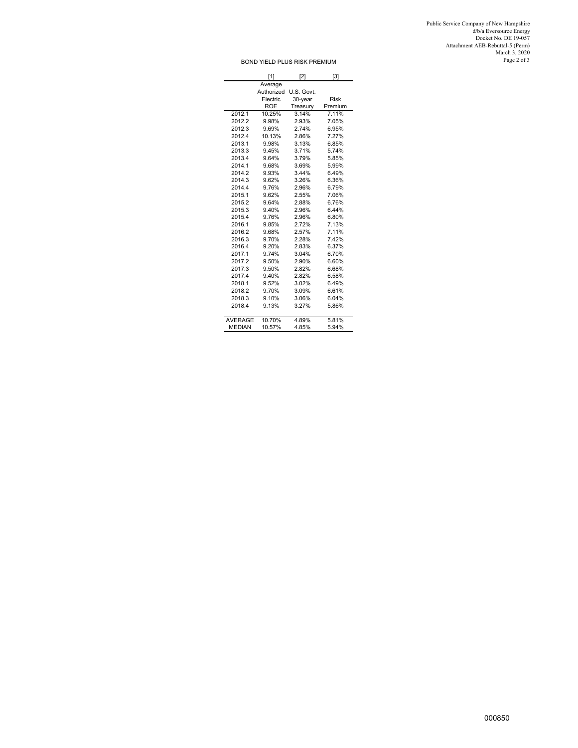Public Service Company of New Hampshire<br>
d/b/a Eversource Energy<br>
Docket No. DE 19-057<br>
Docket No. DE 19-057<br>
Attachment AEB-Rebuttal-5 (Perm)<br>March 3, 2020<br>March 3, 2020<br>Page 2 of 3

|                | [1]        | [2]        | [3]         |
|----------------|------------|------------|-------------|
|                | Average    |            |             |
|                | Authorized | U.S. Govt. |             |
|                | Electric   | 30-year    | <b>Risk</b> |
|                | <b>ROE</b> | Treasury   | Premium     |
| 2012.1         | 10.25%     | 3.14%      | 7.11%       |
| 2012.2         | 9.98%      | 2.93%      | 7.05%       |
| 2012.3         | 9.69%      | 2.74%      | 6.95%       |
| 2012.4         | 10.13%     | 2.86%      | 7.27%       |
| 2013.1         | 9.98%      | 3.13%      | 6.85%       |
| 2013.3         | 9.45%      | 3.71%      | 5.74%       |
| 2013.4         | 9.64%      | 3.79%      | 5.85%       |
| 2014.1         | 9.68%      | 3.69%      | 5.99%       |
| 2014.2         | 9.93%      | 3.44%      | 6.49%       |
| 2014.3         | 9.62%      | 3.26%      | 6.36%       |
| 2014.4         | 9.76%      | 2.96%      | 6.79%       |
| 2015.1         | 9.62%      | 2.55%      | 7.06%       |
| 2015.2         | 9.64%      | 2.88%      | 6.76%       |
| 2015.3         | 9.40%      | 2.96%      | 6.44%       |
| 2015.4         | 9.76%      | 2.96%      | 6.80%       |
| 2016.1         | 9.85%      | 2.72%      | 7.13%       |
| 2016.2         | 9.68%      | 2.57%      | 7.11%       |
| 2016.3         | 9.70%      | 2.28%      | 742%        |
| 2016.4         | 9.20%      | 2.83%      | 6.37%       |
| 2017.1         | 9.74%      | 3.04%      | 6.70%       |
| 2017.2         | 9.50%      | 2.90%      | 6.60%       |
| 2017.3         | 9.50%      | 2.82%      | 6.68%       |
| 2017.4         | 9.40%      | 2.82%      | 6.58%       |
| 2018.1         | 9.52%      | 3.02%      | 6.49%       |
| 2018.2         | 9.70%      | 3.09%      | 6.61%       |
| 2018.3         | 9.10%      | 3.06%      | 6.04%       |
| 2018.4         | 9.13%      | 3.27%      | 5.86%       |
| <b>AVERAGE</b> | 10.70%     | 4.89%      | 5.81%       |
| <b>MEDIAN</b>  | 10.57%     | 4.85%      | 5.94%       |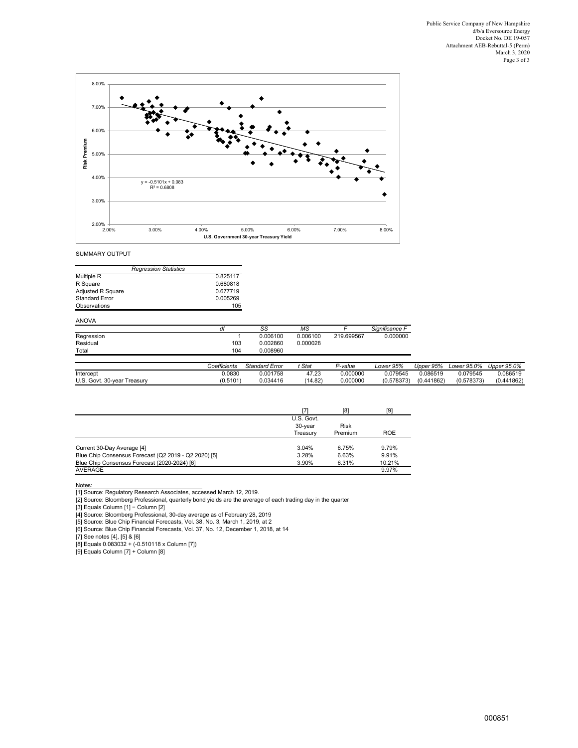

SUMMARY OUTPUT

| <b>Regression Statistics</b> |          |
|------------------------------|----------|
| Multiple R                   | 0.825117 |
| R Square                     | 0.680818 |
| <b>Adjusted R Square</b>     | 0.677719 |
| <b>Standard Error</b>        | 0.005269 |
| Observations                 | 105      |

## ANOVA

|                             | df           | SS                    | МS       |            | Significance F |            |             |             |
|-----------------------------|--------------|-----------------------|----------|------------|----------------|------------|-------------|-------------|
| Regression                  |              | 0.006100              | 0.006100 | 219.699567 | 0.000000       |            |             |             |
| Residual                    | 103          | 0.002860              | 0.000028 |            |                |            |             |             |
| Total                       | 104          | 0.008960              |          |            |                |            |             |             |
|                             |              |                       |          |            |                |            |             |             |
|                             | Coefficients | <b>Standard Error</b> | Stat     | P-value    | Lower 95%      | Upper 95%  | Lower 95.0% | Upper 95.0% |
| Intercept                   | 0.0830       | 0.001758              | 47.23    | 0.000000   | 0.079545       | 0.086519   | 0.079545    | 0.086519    |
| U.S. Govt. 30-year Treasury | (0.5101)     | 0.034416              | (14.82)  | 0.000000   | (0.578373)     | (0.441862) | (0.578373)  | (0.441862)  |

|                                                      |            | [8]         | [9]        |
|------------------------------------------------------|------------|-------------|------------|
|                                                      | U.S. Govt. |             |            |
|                                                      | 30-year    | <b>Risk</b> |            |
|                                                      | Treasurv   | Premium     | <b>ROE</b> |
|                                                      |            |             |            |
| Current 30-Day Average [4]                           | 3.04%      | 6.75%       | 9.79%      |
| Blue Chip Consensus Forecast (Q2 2019 - Q2 2020) [5] | 3.28%      | 6.63%       | 9.91%      |
| Blue Chip Consensus Forecast (2020-2024) [6]         | 3.90%      | 6.31%       | 10.21%     |
| <b>AVERAGE</b>                                       |            |             | 9.97%      |

Notes:<br>2017 Source: Regulatory Research Associates, accessed March 12, 2019.<br>2017 Source: Bloomberg Professional, quarterly bond yields are the average of each trading day in the quarter<br>31 Equals Column [1] – Column [2]<br>3